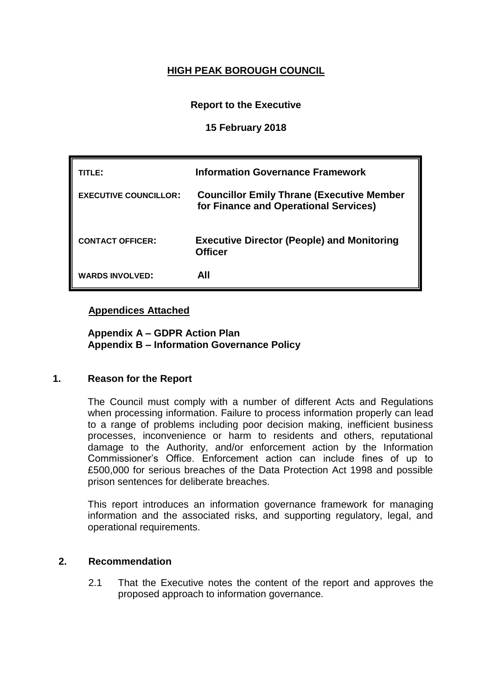# **HIGH PEAK BOROUGH COUNCIL**

# **Report to the Executive**

# **15 February 2018**

| TITLE:                       | <b>Information Governance Framework</b>                                                   |
|------------------------------|-------------------------------------------------------------------------------------------|
| <b>EXECUTIVE COUNCILLOR:</b> | <b>Councillor Emily Thrane (Executive Member</b><br>for Finance and Operational Services) |
| <b>CONTACT OFFICER:</b>      | <b>Executive Director (People) and Monitoring</b><br><b>Officer</b>                       |
| <b>WARDS INVOLVED:</b>       | All                                                                                       |

# **Appendices Attached**

**Appendix A – GDPR Action Plan Appendix B – Information Governance Policy**

# **1. Reason for the Report**

The Council must comply with a number of different Acts and Regulations when processing information. Failure to process information properly can lead to a range of problems including poor decision making, inefficient business processes, inconvenience or harm to residents and others, reputational damage to the Authority, and/or enforcement action by the Information Commissioner's Office. Enforcement action can include fines of up to £500,000 for serious breaches of the Data Protection Act 1998 and possible prison sentences for deliberate breaches.

This report introduces an information governance framework for managing information and the associated risks, and supporting regulatory, legal, and operational requirements.

# **2. Recommendation**

2.1 That the Executive notes the content of the report and approves the proposed approach to information governance.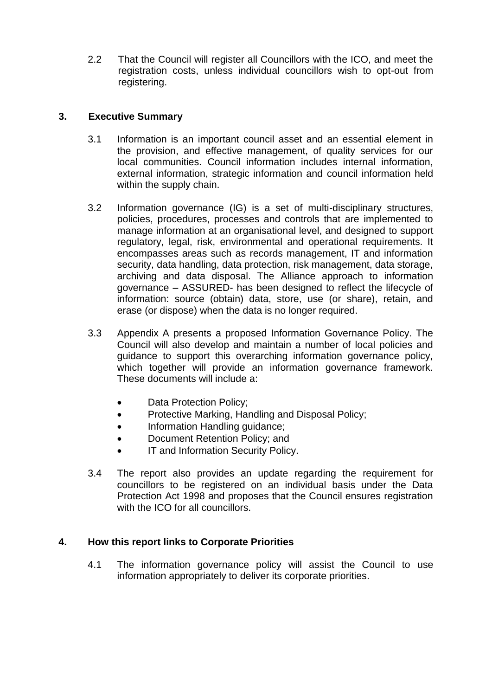2.2 That the Council will register all Councillors with the ICO, and meet the registration costs, unless individual councillors wish to opt-out from registering.

# **3. Executive Summary**

- 3.1 Information is an important council asset and an essential element in the provision, and effective management, of quality services for our local communities. Council information includes internal information, external information, strategic information and council information held within the supply chain.
- 3.2 Information governance (IG) is a set of multi-disciplinary structures, policies, procedures, processes and controls that are implemented to manage information at an organisational level, and designed to support regulatory, legal, risk, environmental and operational requirements. It encompasses areas such as records management, IT and information security, data handling, data protection, risk management, data storage, archiving and data disposal. The Alliance approach to information governance – ASSURED- has been designed to reflect the lifecycle of information: source (obtain) data, store, use (or share), retain, and erase (or dispose) when the data is no longer required.
- 3.3 Appendix A presents a proposed Information Governance Policy. The Council will also develop and maintain a number of local policies and guidance to support this overarching information governance policy, which together will provide an information governance framework. These documents will include a:
	- Data Protection Policy;
	- Protective Marking, Handling and Disposal Policy;
	- Information Handling guidance;
	- Document Retention Policy; and
	- IT and Information Security Policy.
- 3.4 The report also provides an update regarding the requirement for councillors to be registered on an individual basis under the Data Protection Act 1998 and proposes that the Council ensures registration with the ICO for all councillors.

# **4. How this report links to Corporate Priorities**

4.1 The information governance policy will assist the Council to use information appropriately to deliver its corporate priorities.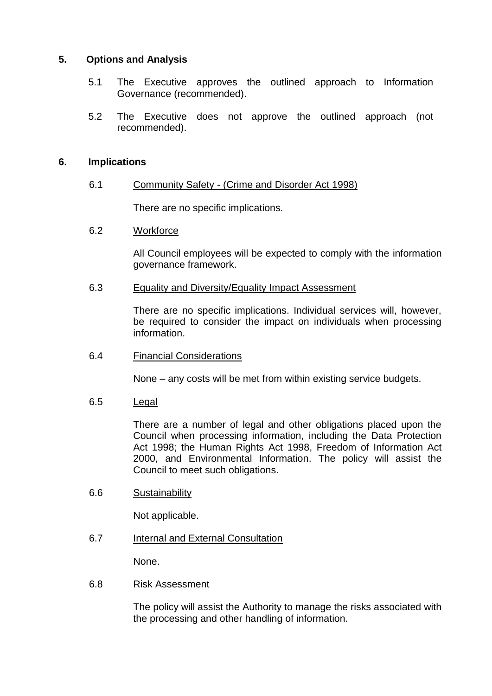# **5. Options and Analysis**

- 5.1 The Executive approves the outlined approach to Information Governance (recommended).
- 5.2 The Executive does not approve the outlined approach (not recommended).

# **6. Implications**

# 6.1 Community Safety - (Crime and Disorder Act 1998)

There are no specific implications.

# 6.2 Workforce

All Council employees will be expected to comply with the information governance framework.

#### 6.3 Equality and Diversity/Equality Impact Assessment

There are no specific implications. Individual services will, however, be required to consider the impact on individuals when processing information.

# 6.4 Financial Considerations

None – any costs will be met from within existing service budgets.

#### 6.5 Legal

There are a number of legal and other obligations placed upon the Council when processing information, including the Data Protection Act 1998; the Human Rights Act 1998, Freedom of Information Act 2000, and Environmental Information. The policy will assist the Council to meet such obligations.

# 6.6 Sustainability

Not applicable.

6.7 Internal and External Consultation

None.

# 6.8 Risk Assessment

The policy will assist the Authority to manage the risks associated with the processing and other handling of information.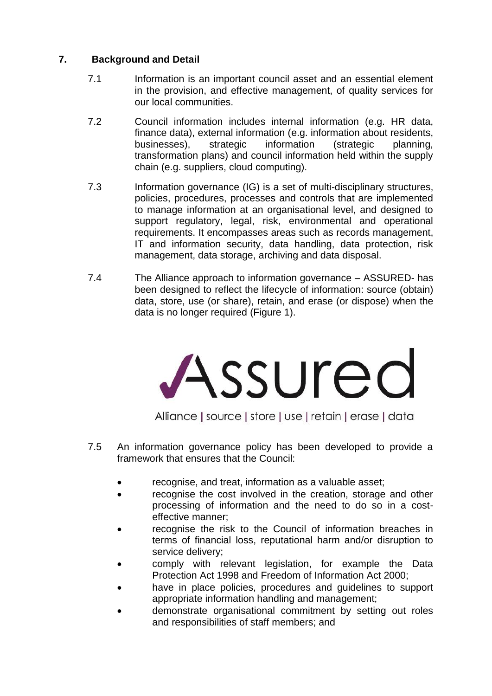# **7. Background and Detail**

- 7.1 Information is an important council asset and an essential element in the provision, and effective management, of quality services for our local communities.
- 7.2 Council information includes internal information (e.g. HR data, finance data), external information (e.g. information about residents, businesses), strategic information (strategic planning, transformation plans) and council information held within the supply chain (e.g. suppliers, cloud computing).
- 7.3 Information governance (IG) is a set of multi-disciplinary structures, policies, procedures, processes and controls that are implemented to manage information at an organisational level, and designed to support regulatory, legal, risk, environmental and operational requirements. It encompasses areas such as records management, IT and information security, data handling, data protection, risk management, data storage, archiving and data disposal.
- 7.4 The Alliance approach to information governance ASSURED- has been designed to reflect the lifecycle of information: source (obtain) data, store, use (or share), retain, and erase (or dispose) when the data is no longer required (Figure 1).



Alliance | source | store | use | retain | erase | data

- 7.5 An information governance policy has been developed to provide a framework that ensures that the Council:
	- recognise, and treat, information as a valuable asset;
	- recognise the cost involved in the creation, storage and other processing of information and the need to do so in a costeffective manner;
	- recognise the risk to the Council of information breaches in terms of financial loss, reputational harm and/or disruption to service delivery;
	- comply with relevant legislation, for example the Data Protection Act 1998 and Freedom of Information Act 2000;
	- have in place policies, procedures and guidelines to support appropriate information handling and management;
	- demonstrate organisational commitment by setting out roles and responsibilities of staff members; and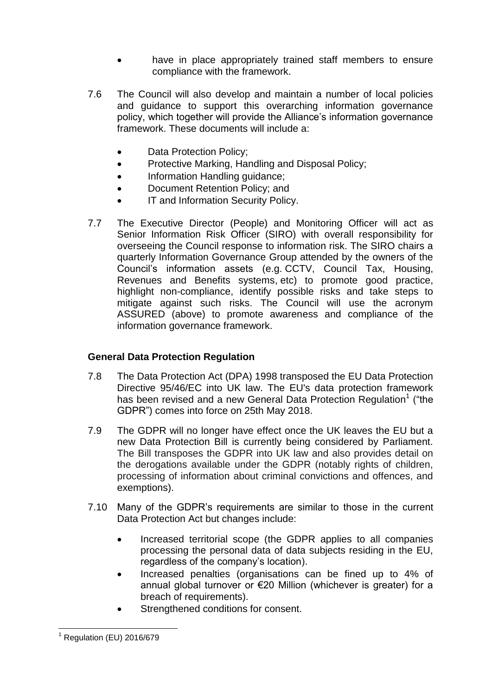- have in place appropriately trained staff members to ensure compliance with the framework.
- 7.6 The Council will also develop and maintain a number of local policies and guidance to support this overarching information governance policy, which together will provide the Alliance's information governance framework. These documents will include a:
	- Data Protection Policy;
	- Protective Marking, Handling and Disposal Policy;
	- Information Handling guidance;
	- Document Retention Policy; and
	- IT and Information Security Policy.
- 7.7 The Executive Director (People) and Monitoring Officer will act as Senior Information Risk Officer (SIRO) with overall responsibility for overseeing the Council response to information risk. The SIRO chairs a quarterly Information Governance Group attended by the owners of the Council's information assets (e.g. CCTV, Council Tax, Housing, Revenues and Benefits systems, etc) to promote good practice, highlight non-compliance, identify possible risks and take steps to mitigate against such risks. The Council will use the acronym ASSURED (above) to promote awareness and compliance of the information governance framework.

# **General Data Protection Regulation**

- 7.8 The Data Protection Act (DPA) 1998 transposed the EU Data Protection Directive 95/46/EC into UK law. The EU's data protection framework has been revised and a new General Data Protection Regulation<sup>1</sup> ("the GDPR") comes into force on 25th May 2018.
- 7.9 The GDPR will no longer have effect once the UK leaves the EU but a new Data Protection Bill is currently being considered by Parliament. The Bill transposes the GDPR into UK law and also provides detail on the derogations available under the GDPR (notably rights of children, processing of information about criminal convictions and offences, and exemptions).
- 7.10 Many of the GDPR's requirements are similar to those in the current Data Protection Act but changes include:
	- Increased territorial scope (the GDPR applies to all companies processing the personal data of data subjects residing in the EU, regardless of the company's location).
	- Increased penalties (organisations can be fined up to 4% of annual global turnover or €20 Million (whichever is greater) for a breach of requirements).
	- Strengthened conditions for consent.

 $\overline{a}$  $<sup>1</sup>$  Regulation (EU) 2016/679</sup>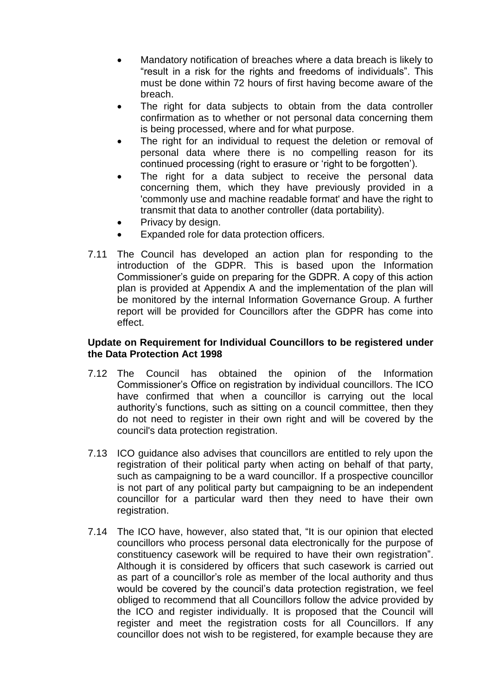- Mandatory notification of breaches where a data breach is likely to "result in a risk for the rights and freedoms of individuals". This must be done within 72 hours of first having become aware of the breach.
- The right for data subjects to obtain from the data controller confirmation as to whether or not personal data concerning them is being processed, where and for what purpose.
- The right for an individual to request the deletion or removal of personal data where there is no compelling reason for its continued processing (right to erasure or 'right to be forgotten').
- The right for a data subject to receive the personal data concerning them, which they have previously provided in a 'commonly use and machine readable format' and have the right to transmit that data to another controller (data portability).
- Privacy by design.
- Expanded role for data protection officers.
- 7.11 The Council has developed an action plan for responding to the introduction of the GDPR. This is based upon the Information Commissioner's guide on preparing for the GDPR. A copy of this action plan is provided at Appendix A and the implementation of the plan will be monitored by the internal Information Governance Group. A further report will be provided for Councillors after the GDPR has come into effect.

# **Update on Requirement for Individual Councillors to be registered under the Data Protection Act 1998**

- 7.12 The Council has obtained the opinion of the Information Commissioner's Office on registration by individual councillors. The ICO have confirmed that when a councillor is carrying out the local authority's functions, such as sitting on a council committee, then they do not need to register in their own right and will be covered by the council's data protection registration.
- 7.13 ICO guidance also advises that councillors are entitled to rely upon the registration of their political party when acting on behalf of that party, such as campaigning to be a ward councillor. If a prospective councillor is not part of any political party but campaigning to be an independent councillor for a particular ward then they need to have their own registration.
- 7.14 The ICO have, however, also stated that, "It is our opinion that elected councillors who process personal data electronically for the purpose of constituency casework will be required to have their own registration". Although it is considered by officers that such casework is carried out as part of a councillor's role as member of the local authority and thus would be covered by the council's data protection registration, we feel obliged to recommend that all Councillors follow the advice provided by the ICO and register individually. It is proposed that the Council will register and meet the registration costs for all Councillors. If any councillor does not wish to be registered, for example because they are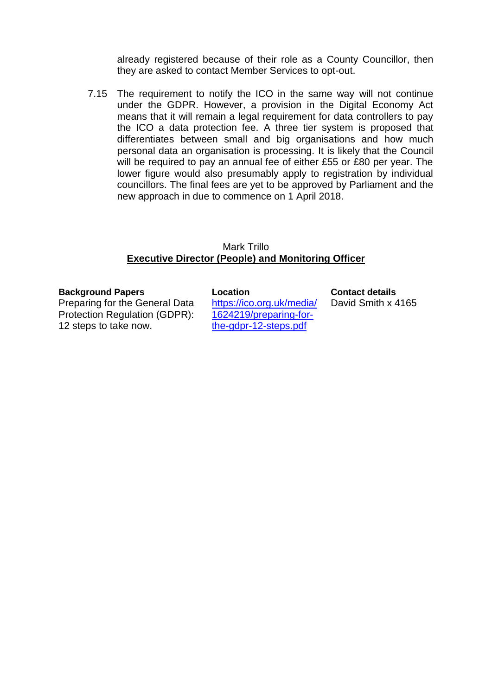already registered because of their role as a County Councillor, then they are asked to contact Member Services to opt-out.

7.15 The requirement to notify the ICO in the same way will not continue under the GDPR. However, a provision in the Digital Economy Act means that it will remain a legal requirement for data controllers to pay the ICO a data protection fee. A three tier system is proposed that differentiates between small and big organisations and how much personal data an organisation is processing. It is likely that the Council will be required to pay an annual fee of either £55 or £80 per year. The lower figure would also presumably apply to registration by individual councillors. The final fees are yet to be approved by Parliament and the new approach in due to commence on 1 April 2018.

#### Mark Trillo **Executive Director (People) and Monitoring Officer**

#### **Background Papers**

Preparing for the General Data Protection Regulation (GDPR): 12 steps to take now.

**Location**

[https://ico.org.uk/media/](https://ico.org.uk/media/1624219/preparing-for-the-gdpr-12-steps.pdf) [1624219/preparing-for](https://ico.org.uk/media/1624219/preparing-for-the-gdpr-12-steps.pdf)[the-gdpr-12-steps.pdf](https://ico.org.uk/media/1624219/preparing-for-the-gdpr-12-steps.pdf)

**Contact details**

David Smith x 4165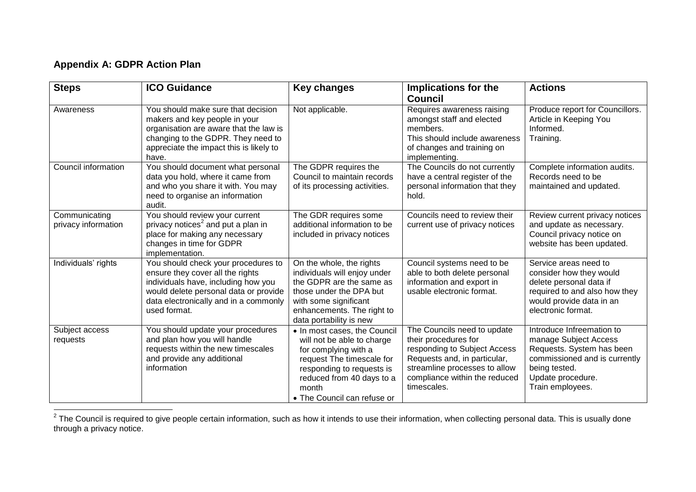# **Appendix A: GDPR Action Plan**

| <b>Steps</b>                         | <b>ICO Guidance</b>                                                                                                                                                                                              | <b>Key changes</b>                                                                                                                                                                                                | Implications for the<br>Council                                                                                                                                                                      | <b>Actions</b>                                                                                                                                                             |
|--------------------------------------|------------------------------------------------------------------------------------------------------------------------------------------------------------------------------------------------------------------|-------------------------------------------------------------------------------------------------------------------------------------------------------------------------------------------------------------------|------------------------------------------------------------------------------------------------------------------------------------------------------------------------------------------------------|----------------------------------------------------------------------------------------------------------------------------------------------------------------------------|
| Awareness                            | You should make sure that decision<br>makers and key people in your<br>organisation are aware that the law is<br>changing to the GDPR. They need to<br>appreciate the impact this is likely to<br>have.          | Not applicable.                                                                                                                                                                                                   | Requires awareness raising<br>amongst staff and elected<br>members.<br>This should include awareness<br>of changes and training on<br>implementing.                                                  | Produce report for Councillors.<br>Article in Keeping You<br>Informed.<br>Training.                                                                                        |
| Council information                  | You should document what personal<br>data you hold, where it came from<br>and who you share it with. You may<br>need to organise an information<br>audit.                                                        | The GDPR requires the<br>Council to maintain records<br>of its processing activities.                                                                                                                             | The Councils do not currently<br>have a central register of the<br>personal information that they<br>hold.                                                                                           | Complete information audits.<br>Records need to be<br>maintained and updated.                                                                                              |
| Communicating<br>privacy information | You should review your current<br>privacy notices <sup>2</sup> and put a plan in<br>place for making any necessary<br>changes in time for GDPR<br>implementation.                                                | The GDR requires some<br>additional information to be<br>included in privacy notices                                                                                                                              | Councils need to review their<br>current use of privacy notices                                                                                                                                      | Review current privacy notices<br>and update as necessary.<br>Council privacy notice on<br>website has been updated.                                                       |
| Individuals' rights                  | You should check your procedures to<br>ensure they cover all the rights<br>individuals have, including how you<br>would delete personal data or provide<br>data electronically and in a commonly<br>used format. | On the whole, the rights<br>individuals will enjoy under<br>the GDPR are the same as<br>those under the DPA but<br>with some significant<br>enhancements. The right to<br>data portability is new                 | Council systems need to be<br>able to both delete personal<br>information and export in<br>usable electronic format.                                                                                 | Service areas need to<br>consider how they would<br>delete personal data if<br>required to and also how they<br>would provide data in an<br>electronic format.             |
| Subject access<br>requests           | You should update your procedures<br>and plan how you will handle<br>requests within the new timescales<br>and provide any additional<br>information                                                             | • In most cases, the Council<br>will not be able to charge<br>for complying with a<br>request The timescale for<br>responding to requests is<br>reduced from 40 days to a<br>month<br>• The Council can refuse or | The Councils need to update<br>their procedures for<br>responding to Subject Access<br>Requests and, in particular,<br>streamline processes to allow<br>compliance within the reduced<br>timescales. | Introduce Infreemation to<br>manage Subject Access<br>Requests. System has been<br>commissioned and is currently<br>being tested.<br>Update procedure.<br>Train employees. |

 2 The Council is required to give people certain information, such as how it intends to use their information, when collecting personal data. This is usually done through a privacy notice.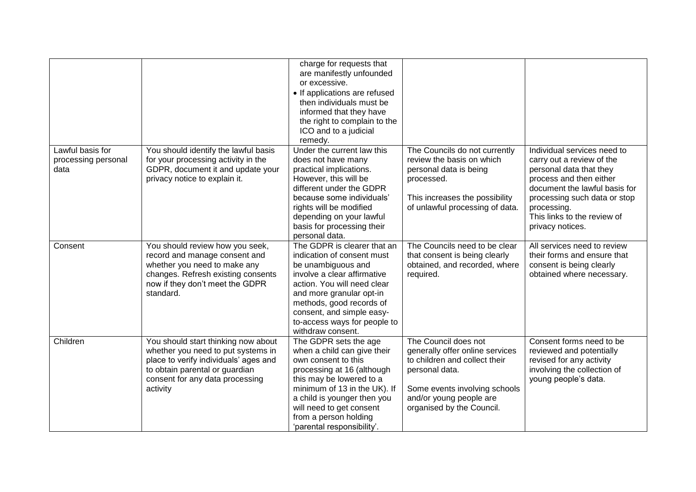|                                                 |                                                                                                                                                                                                     | charge for requests that<br>are manifestly unfounded<br>or excessive.<br>• If applications are refused<br>then individuals must be<br>informed that they have<br>the right to complain to the<br>ICO and to a judicial<br>remedy.                                                       |                                                                                                                                                                                                     |                                                                                                                                                                                                                                                   |
|-------------------------------------------------|-----------------------------------------------------------------------------------------------------------------------------------------------------------------------------------------------------|-----------------------------------------------------------------------------------------------------------------------------------------------------------------------------------------------------------------------------------------------------------------------------------------|-----------------------------------------------------------------------------------------------------------------------------------------------------------------------------------------------------|---------------------------------------------------------------------------------------------------------------------------------------------------------------------------------------------------------------------------------------------------|
| Lawful basis for<br>processing personal<br>data | You should identify the lawful basis<br>for your processing activity in the<br>GDPR, document it and update your<br>privacy notice to explain it.                                                   | Under the current law this<br>does not have many<br>practical implications.<br>However, this will be<br>different under the GDPR<br>because some individuals'<br>rights will be modified<br>depending on your lawful<br>basis for processing their<br>personal data.                    | The Councils do not currently<br>review the basis on which<br>personal data is being<br>processed.<br>This increases the possibility<br>of unlawful processing of data.                             | Individual services need to<br>carry out a review of the<br>personal data that they<br>process and then either<br>document the lawful basis for<br>processing such data or stop<br>processing.<br>This links to the review of<br>privacy notices. |
| Consent                                         | You should review how you seek,<br>record and manage consent and<br>whether you need to make any<br>changes. Refresh existing consents<br>now if they don't meet the GDPR<br>standard.              | The GDPR is clearer that an<br>indication of consent must<br>be unambiguous and<br>involve a clear affirmative<br>action. You will need clear<br>and more granular opt-in<br>methods, good records of<br>consent, and simple easy-<br>to-access ways for people to<br>withdraw consent. | The Councils need to be clear<br>that consent is being clearly<br>obtained, and recorded, where<br>required.                                                                                        | All services need to review<br>their forms and ensure that<br>consent is being clearly<br>obtained where necessary.                                                                                                                               |
| Children                                        | You should start thinking now about<br>whether you need to put systems in<br>place to verify individuals' ages and<br>to obtain parental or guardian<br>consent for any data processing<br>activity | The GDPR sets the age<br>when a child can give their<br>own consent to this<br>processing at 16 (although<br>this may be lowered to a<br>minimum of 13 in the UK). If<br>a child is younger then you<br>will need to get consent<br>from a person holding<br>'parental responsibility'. | The Council does not<br>generally offer online services<br>to children and collect their<br>personal data.<br>Some events involving schools<br>and/or young people are<br>organised by the Council. | Consent forms need to be<br>reviewed and potentially<br>revised for any activity<br>involving the collection of<br>young people's data.                                                                                                           |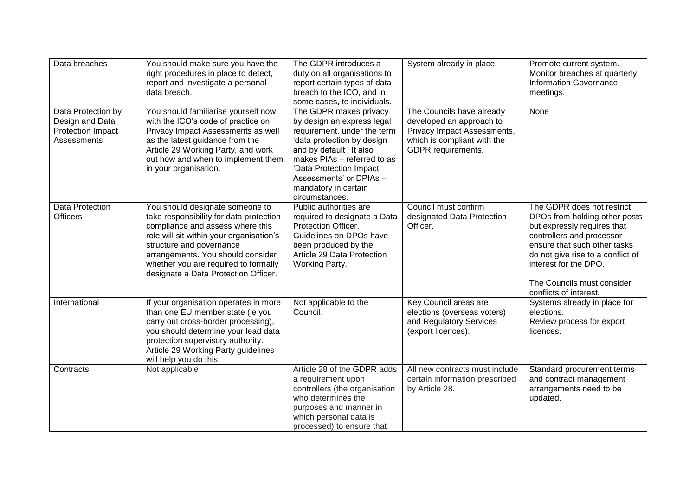| Data breaches                                                             | You should make sure you have the<br>right procedures in place to detect,<br>report and investigate a personal<br>data breach.                                                                                                                                                                              | The GDPR introduces a<br>duty on all organisations to<br>report certain types of data<br>breach to the ICO, and in<br>some cases, to individuals.                                                                                                                            | System already in place.                                                                                                                         | Promote current system.<br>Monitor breaches at quarterly<br><b>Information Governance</b><br>meetings.                                                                                                                                                                        |
|---------------------------------------------------------------------------|-------------------------------------------------------------------------------------------------------------------------------------------------------------------------------------------------------------------------------------------------------------------------------------------------------------|------------------------------------------------------------------------------------------------------------------------------------------------------------------------------------------------------------------------------------------------------------------------------|--------------------------------------------------------------------------------------------------------------------------------------------------|-------------------------------------------------------------------------------------------------------------------------------------------------------------------------------------------------------------------------------------------------------------------------------|
| Data Protection by<br>Design and Data<br>Protection Impact<br>Assessments | You should familiarise yourself now<br>with the ICO's code of practice on<br>Privacy Impact Assessments as well<br>as the latest guidance from the<br>Article 29 Working Party, and work<br>out how and when to implement them<br>in your organisation.                                                     | The GDPR makes privacy<br>by design an express legal<br>requirement, under the term<br>'data protection by design<br>and by default'. It also<br>makes PIAs - referred to as<br>'Data Protection Impact<br>Assessments' or DPIAs -<br>mandatory in certain<br>circumstances. | The Councils have already<br>developed an approach to<br>Privacy Impact Assessments,<br>which is compliant with the<br><b>GDPR</b> requirements. | None                                                                                                                                                                                                                                                                          |
| Data Protection<br><b>Officers</b>                                        | You should designate someone to<br>take responsibility for data protection<br>compliance and assess where this<br>role will sit within your organisation's<br>structure and governance<br>arrangements. You should consider<br>whether you are required to formally<br>designate a Data Protection Officer. | Public authorities are<br>required to designate a Data<br>Protection Officer.<br>Guidelines on DPOs have<br>been produced by the<br>Article 29 Data Protection<br>Working Party.                                                                                             | Council must confirm<br>designated Data Protection<br>Officer.                                                                                   | The GDPR does not restrict<br>DPOs from holding other posts<br>but expressly requires that<br>controllers and processor<br>ensure that such other tasks<br>do not give rise to a conflict of<br>interest for the DPO.<br>The Councils must consider<br>conflicts of interest. |
| International                                                             | If your organisation operates in more<br>than one EU member state (ie you<br>carry out cross-border processing),<br>you should determine your lead data<br>protection supervisory authority.<br>Article 29 Working Party guidelines<br>will help you do this.                                               | Not applicable to the<br>Council.                                                                                                                                                                                                                                            | Key Council areas are<br>elections (overseas voters)<br>and Regulatory Services<br>(export licences).                                            | Systems already in place for<br>elections.<br>Review process for export<br>licences.                                                                                                                                                                                          |
| Contracts                                                                 | Not applicable                                                                                                                                                                                                                                                                                              | Article 28 of the GDPR adds<br>a requirement upon<br>controllers (the organisation<br>who determines the<br>purposes and manner in<br>which personal data is<br>processed) to ensure that                                                                                    | All new contracts must include<br>certain information prescribed<br>by Article 28.                                                               | Standard procurement terms<br>and contract management<br>arrangements need to be<br>updated.                                                                                                                                                                                  |